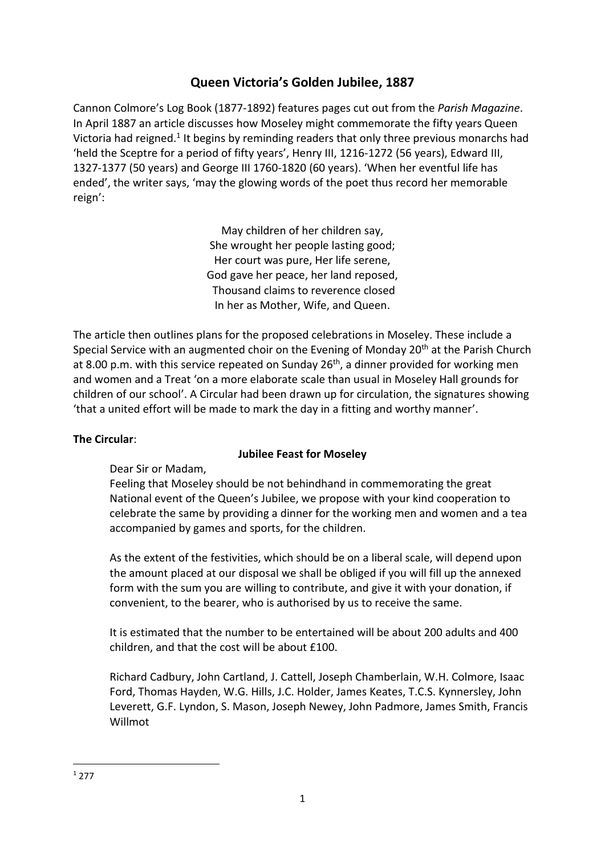# **Queen Victoria's Golden Jubilee, 1887**

Cannon Colmore's Log Book (1877-1892) features pages cut out from the *Parish Magazine*. In April 1887 an article discusses how Moseley might commemorate the fifty years Queen Victoria had reigned.<sup>1</sup> It begins by reminding readers that only three previous monarchs had 'held the Sceptre for a period of fifty years', Henry III, 1216-1272 (56 years), Edward III, 1327-1377 (50 years) and George III 1760-1820 (60 years). 'When her eventful life has ended', the writer says, 'may the glowing words of the poet thus record her memorable reign':

> May children of her children say, She wrought her people lasting good; Her court was pure, Her life serene, God gave her peace, her land reposed, Thousand claims to reverence closed In her as Mother, Wife, and Queen.

The article then outlines plans for the proposed celebrations in Moseley. These include a Special Service with an augmented choir on the Evening of Monday 20<sup>th</sup> at the Parish Church at 8.00 p.m. with this service repeated on Sunday 26<sup>th</sup>, a dinner provided for working men and women and a Treat 'on a more elaborate scale than usual in Moseley Hall grounds for children of our school'. A Circular had been drawn up for circulation, the signatures showing 'that a united effort will be made to mark the day in a fitting and worthy manner'.

## **The Circular**:

## **Jubilee Feast for Moseley**

Dear Sir or Madam,

Feeling that Moseley should be not behindhand in commemorating the great National event of the Queen's Jubilee, we propose with your kind cooperation to celebrate the same by providing a dinner for the working men and women and a tea accompanied by games and sports, for the children.

As the extent of the festivities, which should be on a liberal scale, will depend upon the amount placed at our disposal we shall be obliged if you will fill up the annexed form with the sum you are willing to contribute, and give it with your donation, if convenient, to the bearer, who is authorised by us to receive the same.

It is estimated that the number to be entertained will be about 200 adults and 400 children, and that the cost will be about £100.

Richard Cadbury, John Cartland, J. Cattell, Joseph Chamberlain, W.H. Colmore, Isaac Ford, Thomas Hayden, W.G. Hills, J.C. Holder, James Keates, T.C.S. Kynnersley, John Leverett, G.F. Lyndon, S. Mason, Joseph Newey, John Padmore, James Smith, Francis Willmot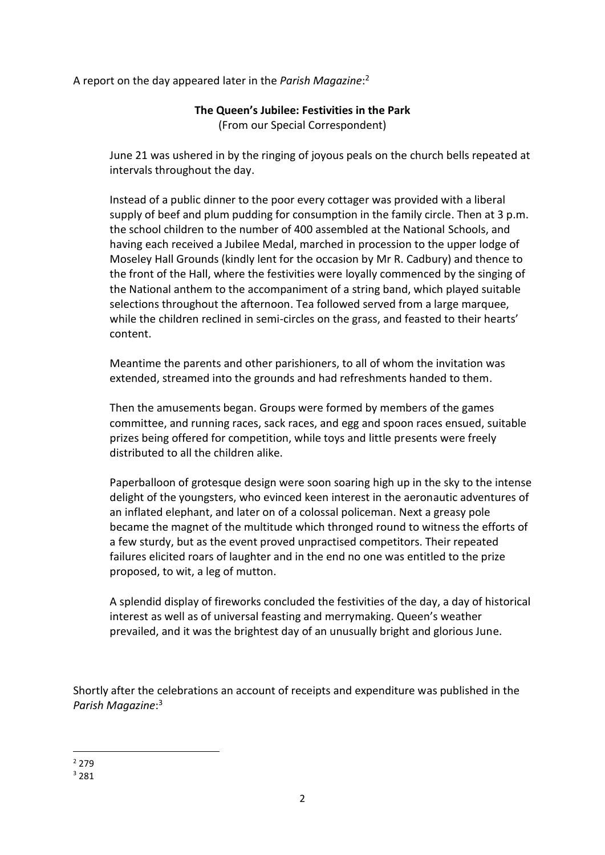A report on the day appeared later in the *Parish Magazine*: 2

### **The Queen's Jubilee: Festivities in the Park** (From our Special Correspondent)

June 21 was ushered in by the ringing of joyous peals on the church bells repeated at intervals throughout the day.

Instead of a public dinner to the poor every cottager was provided with a liberal supply of beef and plum pudding for consumption in the family circle. Then at 3 p.m. the school children to the number of 400 assembled at the National Schools, and having each received a Jubilee Medal, marched in procession to the upper lodge of Moseley Hall Grounds (kindly lent for the occasion by Mr R. Cadbury) and thence to the front of the Hall, where the festivities were loyally commenced by the singing of the National anthem to the accompaniment of a string band, which played suitable selections throughout the afternoon. Tea followed served from a large marquee, while the children reclined in semi-circles on the grass, and feasted to their hearts' content.

Meantime the parents and other parishioners, to all of whom the invitation was extended, streamed into the grounds and had refreshments handed to them.

Then the amusements began. Groups were formed by members of the games committee, and running races, sack races, and egg and spoon races ensued, suitable prizes being offered for competition, while toys and little presents were freely distributed to all the children alike.

Paperballoon of grotesque design were soon soaring high up in the sky to the intense delight of the youngsters, who evinced keen interest in the aeronautic adventures of an inflated elephant, and later on of a colossal policeman. Next a greasy pole became the magnet of the multitude which thronged round to witness the efforts of a few sturdy, but as the event proved unpractised competitors. Their repeated failures elicited roars of laughter and in the end no one was entitled to the prize proposed, to wit, a leg of mutton.

A splendid display of fireworks concluded the festivities of the day, a day of historical interest as well as of universal feasting and merrymaking. Queen's weather prevailed, and it was the brightest day of an unusually bright and glorious June.

Shortly after the celebrations an account of receipts and expenditure was published in the *Parish Magazine*: 3

<sup>2</sup> 279

<sup>3</sup> 281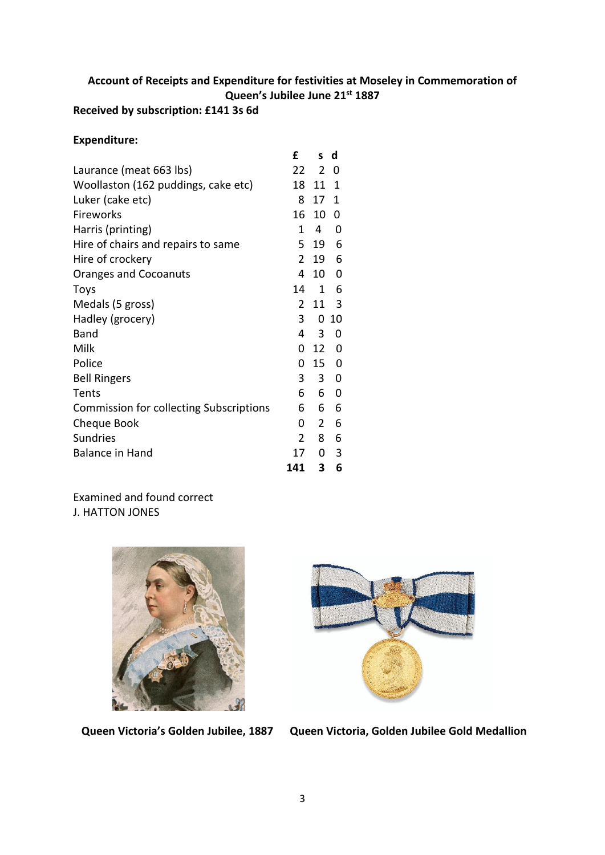# **Account of Receipts and Expenditure for festivities at Moseley in Commemoration of Queen's Jubilee June 21st 1887**

# **Received by subscription: £141 3s 6d**

#### **Expenditure:**

|                                                | £              | S.             | d           |
|------------------------------------------------|----------------|----------------|-------------|
| Laurance (meat 663 lbs)                        | 22             | $\overline{2}$ | 0           |
| Woollaston (162 puddings, cake etc)            | 18             | 11             | 1           |
| Luker (cake etc)                               | 8              | 17             | 1           |
| Fireworks                                      | 16             | 10             | 0           |
| Harris (printing)                              | 1              | 4              | 0           |
| Hire of chairs and repairs to same             | 5              | 19             | 6           |
| Hire of crockery                               | 2              | 19             | 6           |
| <b>Oranges and Cocoanuts</b>                   | 4              | 10 0           |             |
| <b>Toys</b>                                    | 14             | 1              | 6           |
| Medals (5 gross)                               | $\overline{2}$ | 11             | 3           |
| Hadley (grocery)                               | 3              | 0              | 10          |
| <b>Band</b>                                    | 4              | 3              | 0           |
| Milk                                           | 0              | 12             | 0           |
| Police                                         | 0              | 15             | 0           |
| <b>Bell Ringers</b>                            | 3              | $\mathbf{3}$   | 0           |
| Tents                                          | 6              | 6              | $\mathbf 0$ |
| <b>Commission for collecting Subscriptions</b> | 6              | 6              | 6           |
| Cheque Book                                    | 0              | $\overline{2}$ | 6           |
| <b>Sundries</b>                                | 2              | 8              | 6           |
| <b>Balance in Hand</b>                         | 17             | 0              | 3           |
|                                                | 141            | 3              | 6           |

# Examined and found correct

J. HATTON JONES





 **Queen Victoria's Golden Jubilee, 1887 Queen Victoria, Golden Jubilee Gold Medallion**